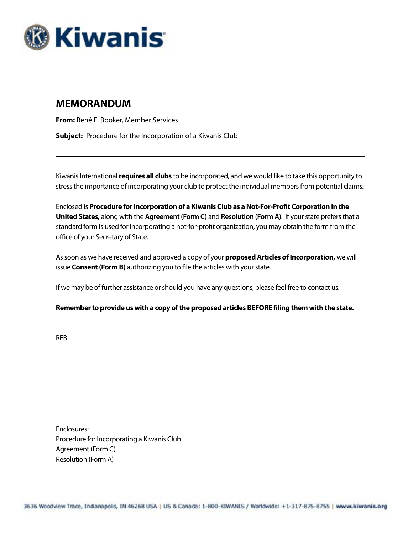

### **MEMORANDUM**

**From:** René E. Booker, Member Services **Subject:** Procedure for the Incorporation of a Kiwanis Club

Kiwanis International **requires all clubs** to be incorporated, and we would like to take this opportunity to stress the importance of incorporating your club to protect the individual members from potential claims.

Enclosed is **Procedure for Incorporation of a Kiwanis Club as a Not-For-Profit Corporation in the United States,** along with the **Agreement (Form C)** and **Resolution (Form A)**. If your state prefers that a standard form is used for incorporating a not-for-profit organization, you may obtain the form from the office of your Secretary of State.

As soon as we have received and approved a copy of your **proposed Articles of Incorporation,** we will issue **Consent (Form B)** authorizing you to file the articles with your state.

If we may be of further assistance or should you have any questions, please feel free to contact us.

#### **Remember to provide us with a copy of the proposed articles BEFORE filing them with the state.**

REB

Enclosures: Procedure for Incorporating a Kiwanis Club Agreement (Form C) Resolution (Form A)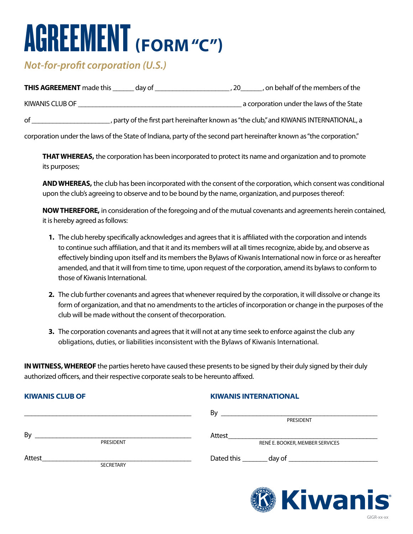## AGREEMENT **(FORM "C")**

## *Not-for-profit corporation (U.S.)*

| <b>THIS AGREEMENT</b> made this | day of | , on behalf of the members of the                                                       |
|---------------------------------|--------|-----------------------------------------------------------------------------------------|
| KIWANIS CLUB OF                 |        | a corporation under the laws of the State                                               |
| οf                              |        | , party of the first part hereinafter known as "the club," and KIWANIS INTERNATIONAL, a |

corporation under the laws of the State of Indiana, party of the second part hereinafter known as "the corporation."

 **THAT WHEREAS,** the corporation has been incorporated to protect its name and organization and to promote its purposes;

 **AND WHEREAS,** the club has been incorporated with the consent of the corporation, which consent was conditional upon the club's agreeing to observe and to be bound by the name, organization, and purposes thereof:

 **NOW THEREFORE,** in consideration of the foregoing and of the mutual covenants and agreements herein contained, it is hereby agreed as follows:

- **1.** The club hereby specifically acknowledges and agrees that it is affiliated with the corporation and intends to continue such affiliation, and that it and its members will at all times recognize, abide by, and observe as effectively binding upon itself and its members the Bylaws of Kiwanis International now in force or as hereafter amended, and that it will from time to time, upon request of the corporation, amend its bylaws to conform to those of Kiwanis International.
- **2.** The club further covenants and agrees that whenever required by the corporation, it will dissolve or change its form of organization, and that no amendments to the articles of incorporation or change in the purposes of the club will be made without the consent of thecorporation.
- **3.** The corporation covenants and agrees that it will not at any time seek to enforce against the club any obligations, duties, or liabilities inconsistent with the Bylaws of Kiwanis International.

**IN WITNESS, WHEREOF** the parties hereto have caused these presents to be signed by their duly signed by their duly authorized officers, and their respective corporate seals to be hereunto affixed.

#### **KIWANIS CLUB OF**

#### **KIWANIS INTERNATIONAL**

|        |           | By<br>PRESIDENT                                                         |
|--------|-----------|-------------------------------------------------------------------------|
| By     | PRESIDENT | Attest<br>RENÉ E. BOOKER, MEMBER SERVICES                               |
| Attest | SECRETARY | Dated this ________<br>day of ________________________                  |
|        |           | <b><i>MANAR</i></b><br>a a shekara<br><b>Contract Contract Contract</b> |

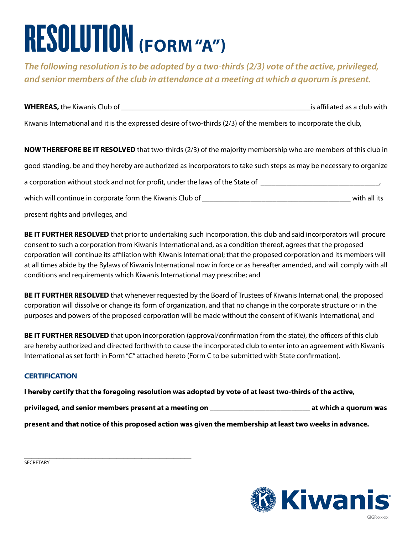# RESOLUTION **(FORM "A")**

*The following resolution is to be adopted by a two-thirds (2/3) vote of the active, privileged, and senior members of the club in attendance at a meeting at which a quorum is present.*

**WHEREAS,** the Kiwanis Club of \_\_\_\_\_\_\_\_\_\_\_\_\_\_\_\_\_\_\_\_\_\_\_\_\_\_\_\_\_\_\_\_\_\_\_\_\_\_\_\_\_\_\_\_\_\_\_\_\_\_\_is affiliated as a club with

Kiwanis International and it is the expressed desire of two-thirds (2/3) of the members to incorporate the club,

**NOW THEREFORE BE IT RESOLVED** that two-thirds (2/3) of the majority membership who are members of this club in good standing, be and they hereby are authorized as incorporators to take such steps as may be necessary to organize a corporation without stock and not for profit, under the laws of the State of \_\_\_\_\_\_\_\_\_\_\_\_\_\_\_\_\_\_\_\_\_\_\_\_\_\_\_\_\_\_\_ which will continue in corporate form the Kiwanis Club of \_\_\_\_\_\_\_\_\_\_\_\_\_\_\_\_\_\_\_\_\_\_\_\_\_\_\_\_\_\_\_\_\_\_\_\_\_\_\_\_ with all its present rights and privileges, and

**BE IT FURTHER RESOLVED** that prior to undertaking such incorporation, this club and said incorporators will procure consent to such a corporation from Kiwanis International and, as a condition thereof, agrees that the proposed corporation will continue its affiliation with Kiwanis International; that the proposed corporation and its members will at all times abide by the Bylaws of Kiwanis International now in force or as hereafter amended, and will comply with all conditions and requirements which Kiwanis International may prescribe; and

**BE IT FURTHER RESOLVED** that whenever requested by the Board of Trustees of Kiwanis International, the proposed corporation will dissolve or change its form of organization, and that no change in the corporate structure or in the purposes and powers of the proposed corporation will be made without the consent of Kiwanis International, and

**BE IT FURTHER RESOLVED** that upon incorporation (approval/confirmation from the state), the officers of this club are hereby authorized and directed forthwith to cause the incorporated club to enter into an agreement with Kiwanis International as set forth in Form "C" attached hereto (Form C to be submitted with State confirmation).

#### **CERTIFICATION**

**I hereby certify that the foregoing resolution was adopted by vote of at least two-thirds of the active,** 

**privileged, and senior members present at a meeting on \_\_\_\_\_\_\_\_\_\_\_\_\_\_\_\_\_\_\_\_\_\_\_\_\_\_\_ at which a quorum was** 

**present and that notice of this proposed action was given the membership at least two weeks in advance.**

**SECRETARY** 

\_\_\_\_\_\_\_\_\_\_\_\_\_\_\_\_\_\_\_\_\_\_\_\_\_\_\_\_\_\_\_\_\_\_\_\_\_\_\_\_\_\_\_\_\_\_\_

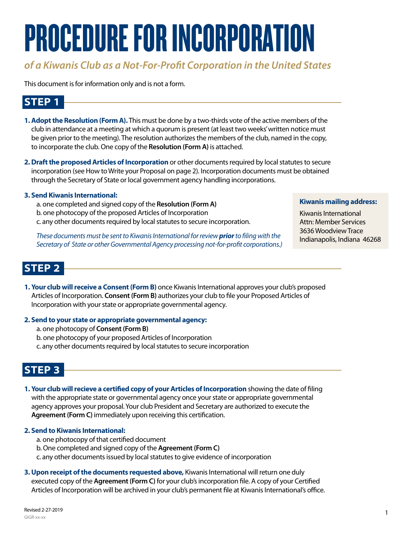# PROCEDURE FOR INCORPORATION

## *of a Kiwanis Club as a Not-For-Profit Corporation in the United States*

This document is for information only and is not a form.

## **STEP 1**

- **1. Adopt the Resolution (Form A).** This must be done by a two-thirds vote of the active members of the club in attendance at a meeting at which a quorum is present (at least two weeks' written notice must be given prior to the meeting). The resolution authorizes the members of the club, named in the copy, to incorporate the club. One copy of the **Resolution (Form A)** is attached.
- **2. Draft the proposed Articles of Incorporation** or other documents required by local statutes to secure incorporation (see How to Write your Proposal on page 2). Incorporation documents must be obtained through the Secretary of State or local government agency handling incorporations.

#### **3. Send Kiwanis International:**

a. one completed and signed copy of the **Resolution (Form A)** b. one photocopy of the proposed Articles of Incorporation c. any other documents required by local statutes to secure incorporation.

*These documents must be sent to Kiwanis International for review prior to filing with the Secretary of State or other Governmental Agency processing not-for-profit corporations.)* 

#### **Kiwanis mailing address:**

Kiwanis International Attn: Member Services 3636 Woodview Trace Indianapolis, Indiana 46268

### **STEP 2**

**1. Your club will receive a Consent (Form B)** once Kiwanis International approves your club's proposed Articles of Incorporation. **Consent (Form B)** authorizes your club to file your Proposed Articles of Incorporation with your state or appropriate governmental agency.

#### **2. Send to your state or appropriate governmental agency:**

- a. one photocopy of **Consent (Form B)**
- b. one photocopy of your proposed Articles of Incorporation
- c. any other documents required by local statutes to secure incorporation

### **STEP 3**

**1. Your club will recieve a certified copy of your Articles of Incorporation** showing the date of filing with the appropriate state or governmental agency once your state or appropriate governmental agency approves your proposal. Your club President and Secretary are authorized to execute the **Agreement (Form C)** immediately upon receiving this certification.

#### **2. Send to Kiwanis International:**

- a. one photocopy of that certified document
- b. One completed and signed copy of the **Agreement (Form C)**
- c. any other documents issued by local statutes to give evidence of incorporation
- **3. Upon receipt of the documents requested above,** Kiwanis International will return one duly executed copy of the **Agreement (Form C)** for your club's incorporation file. A copy of your Certified Articles of Incorporation will be archived in your club's permanent file at Kiwanis International's office.